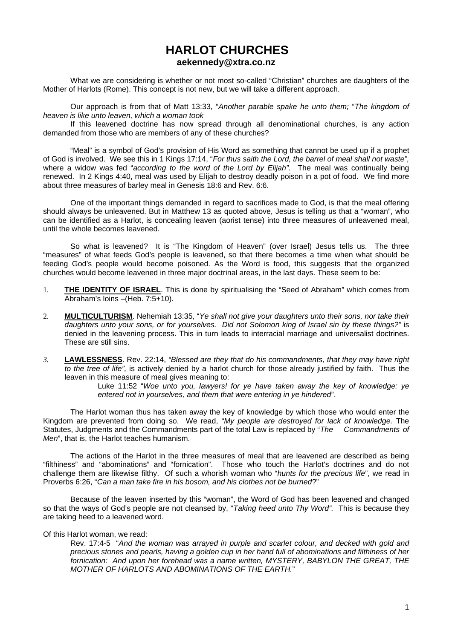# **HARLOT CHURCHES aekennedy@xtra.co.nz**

 What we are considering is whether or not most so-called "Christian" churches are daughters of the Mother of Harlots (Rome). This concept is not new, but we will take a different approach.

 Our approach is from that of Matt 13:33, "*Another parable spake he unto them;* "*The kingdom of heaven is like unto leaven, which a woman took* 

 If this leavened doctrine has now spread through all denominational churches, is any action demanded from those who are members of any of these churches?

 "Meal" is a symbol of God's provision of His Word as something that cannot be used up if a prophet of God is involved. We see this in 1 Kings 17:14, "*For thus saith the Lord, the barrel of meal shall not waste",*  where a widow was fed "*according to the word of the Lord by Elijah"*. The meal was continually being renewed. In 2 Kings 4:40, meal was used by Elijah to destroy deadly poison in a pot of food. We find more about three measures of barley meal in Genesis 18:6 and Rev. 6:6.

 One of the important things demanded in regard to sacrifices made to God, is that the meal offering should always be unleavened. But in Matthew 13 as quoted above, Jesus is telling us that a "woman", who can be identified as a Harlot, is concealing leaven (aorist tense) into three measures of unleavened meal, until the whole becomes leavened.

 So what is leavened? It is "The Kingdom of Heaven" (over Israel) Jesus tells us. The three "measures" of what feeds God's people is leavened, so that there becomes a time when what should be feeding God's people would become poisoned. As the Word is food, this suggests that the organized churches would become leavened in three major doctrinal areas, in the last days. These seem to be:

- 1. **THE IDENTITY OF ISRAEL**. This is done by spiritualising the "Seed of Abraham" which comes from Abraham's loins –(Heb. 7:5+10).
- 2. **MULTICULTURISM**. Nehemiah 13:35, "*Ye shall not give your daughters unto their sons, nor take their daughters unto your sons, or for yourselves. Did not Solomon king of Israel sin by these things?"* is denied in the leavening process. This in turn leads to interracial marriage and universalist doctrines. These are still sins.
- *3.* **LAWLESSNESS**. Rev. 22:14, *"Blessed are they that do his commandments, that they may have right to the tree of life",* is actively denied by a harlot church for those already justified by faith. Thus the leaven in this measure of meal gives meaning to:

Luke 11:52 "*Woe unto you, lawyers! for ye have taken away the key of knowledge: ye entered not in yourselves, and them that were entering in ye hindered*".

 The Harlot woman thus has taken away the key of knowledge by which those who would enter the Kingdom are prevented from doing so. We read, "*My people are destroyed for lack of knowledge.* The Statutes, Judgments and the Commandments part of the total Law is replaced by "*The Commandments of Men*", that is, the Harlot teaches humanism.

 The actions of the Harlot in the three measures of meal that are leavened are described as being "filthiness" and "abominations" and "fornication". Those who touch the Harlot's doctrines and do not challenge them are likewise filthy. Of such a whorish woman who "*hunts for the precious life*", we read in Proverbs 6:26, "*Can a man take fire in his bosom, and his clothes not be burned*?"

 Because of the leaven inserted by this "woman", the Word of God has been leavened and changed so that the ways of God's people are not cleansed by, "*Taking heed unto Thy Word".* This is because they are taking heed to a leavened word.

Of this Harlot woman, we read:

Rev. 17:4-5 "*And the woman was arrayed in purple and scarlet colour, and decked with gold and precious stones and pearls, having a golden cup in her hand full of abominations and filthiness of her fornication: And upon her forehead was a name written, MYSTERY, BABYLON THE GREAT, THE MOTHER OF HARLOTS AND ABOMINATIONS OF THE EARTH.*"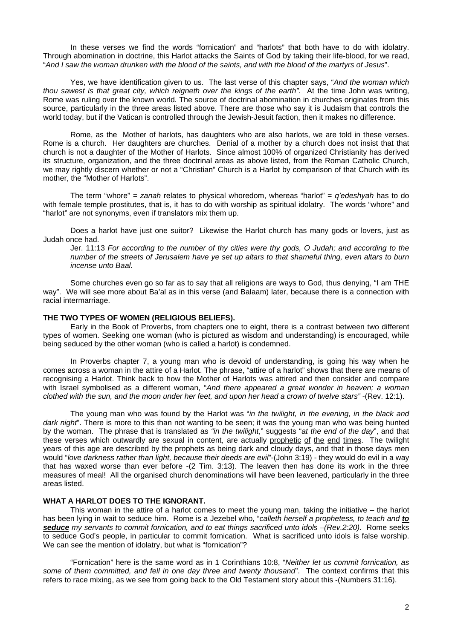In these verses we find the words "fornication" and "harlots" that both have to do with idolatry. Through abomination in doctrine, this Harlot attacks the Saints of God by taking their life-blood, for we read, "*And I saw the woman drunken with the blood of the saints, and with the blood of the martyrs of Jesus*".

 Yes, we have identification given to us. The last verse of this chapter says, "*And the woman which thou sawest is that great city, which reigneth over the kings of the earth".* At the time John was writing, Rome was ruling over the known world*.* The source of doctrinal abomination in churches originates from this source, particularly in the three areas listed above. There are those who say it is Judaism that controls the world today, but if the Vatican is controlled through the Jewish-Jesuit faction, then it makes no difference.

 Rome, as the Mother of harlots, has daughters who are also harlots, we are told in these verses. Rome is a church. Her daughters are churches. Denial of a mother by a church does not insist that that church is not a daughter of the Mother of Harlots. Since almost 100% of organized Christianity has derived its structure, organization, and the three doctrinal areas as above listed, from the Roman Catholic Church, we may rightly discern whether or not a "Christian" Church is a Harlot by comparison of that Church with its mother, the "Mother of Harlots".

 The term "whore" = *zanah* relates to physical whoredom, whereas "harlot" = *q'edeshyah* has to do with female temple prostitutes, that is, it has to do with worship as spiritual idolatry. The words "whore" and "harlot" are not synonyms, even if translators mix them up.

 Does a harlot have just one suitor? Likewise the Harlot church has many gods or lovers, just as Judah once had.

Jer. 11:13 *For according to the number of thy cities were thy gods, O Judah; and according to the number of the streets of Jerusalem have ye set up altars to that shameful thing, even altars to burn incense unto Baal.* 

 Some churches even go so far as to say that all religions are ways to God, thus denying, "I am THE way". We will see more about Ba'al as in this verse (and Balaam) later, because there is a connection with racial intermarriage.

### **THE TWO TYPES OF WOMEN (RELIGIOUS BELIEFS).**

 Early in the Book of Proverbs, from chapters one to eight, there is a contrast between two different types of women. Seeking one woman (who is pictured as wisdom and understanding) is encouraged, while being seduced by the other woman (who is called a harlot) is condemned.

 In Proverbs chapter 7, a young man who is devoid of understanding, is going his way when he comes across a woman in the attire of a Harlot. The phrase, "attire of a harlot" shows that there are means of recognising a Harlot. Think back to how the Mother of Harlots was attired and then consider and compare with Israel symbolised as a different woman, "*And there appeared a great wonder in heaven; a woman clothed with the sun, and the moon under her feet, and upon her head a crown of twelve stars"* -(Rev. 12:1).

 The young man who was found by the Harlot was "*in the twilight, in the evening, in the black and dark night*". There is more to this than not wanting to be seen; it was the young man who was being hunted by the woman. The phrase that is translated as *"in the twilight*," suggests "*at the end of the day*", and that these verses which outwardly are sexual in content, are actually prophetic of the end times. The twilight years of this age are described by the prophets as being dark and cloudy days, and that in those days men would "*love darkness rather than light, because their deeds are evil*"-(John 3:19) - they would do evil in a way that has waxed worse than ever before -(2 Tim. 3:13). The leaven then has done its work in the three measures of meal! All the organised church denominations will have been leavened, particularly in the three areas listed.

# **WHAT A HARLOT DOES TO THE IGNORANT.**

 This woman in the attire of a harlot comes to meet the young man, taking the initiative – the harlot has been lying in wait to seduce him. Rome is a Jezebel who, "*calleth herself a prophetess, to teach and to seduce my servants to commit fornication, and to eat things sacrificed unto idols –(Rev.2:20)*. Rome seeks to seduce God's people, in particular to commit fornication. What is sacrificed unto idols is false worship. We can see the mention of idolatry, but what is "fornication"?

 "Fornication" here is the same word as in 1 Corinthians 10:8, "*Neither let us commit fornication, as some of them committed, and fell in one day three and twenty thousand*". The context confirms that this refers to race mixing, as we see from going back to the Old Testament story about this -(Numbers 31:16).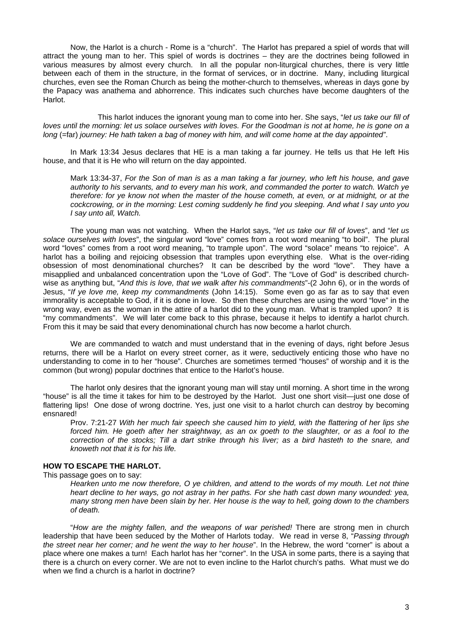Now, the Harlot is a church - Rome is a "church". The Harlot has prepared a spiel of words that will attract the young man to her. This spiel of words is doctrines – they are the doctrines being followed in various measures by almost every church. In all the popular non-liturgical churches, there is very little between each of them in the structure, in the format of services, or in doctrine. Many, including liturgical churches, even see the Roman Church as being the mother-church to themselves, whereas in days gone by the Papacy was anathema and abhorrence. This indicates such churches have become daughters of the Harlot.

 This harlot induces the ignorant young man to come into her. She says, "*let us take our fill of loves until the morning: let us solace ourselves with loves. For the Goodman is not at home, he is gone on a long* (=far) *journey: He hath taken a bag of money with him, and will come home at the day appointed"*.

 In Mark 13:34 Jesus declares that HE is a man taking a far journey. He tells us that He left His house, and that it is He who will return on the day appointed.

Mark 13:34-37, *For the Son of man is as a man taking a far journey, who left his house, and gave authority to his servants, and to every man his work, and commanded the porter to watch. Watch ye therefore: for ye know not when the master of the house cometh, at even, or at midnight, or at the cockcrowing, or in the morning: Lest coming suddenly he find you sleeping. And what I say unto you I say unto all, Watch.* 

 The young man was not watching. When the Harlot says, "*let us take our fill of loves*", and "*let us solace ourselves with loves*", the singular word "love" comes from a root word meaning "to boil". The plural word "loves" comes from a root word meaning, "to trample upon". The word "solace" means "to rejoice". A harlot has a boiling and rejoicing obsession that tramples upon everything else. What is the over-riding obsession of most denominational churches? It can be described by the word "love". They have a misapplied and unbalanced concentration upon the "Love of God". The "Love of God" is described churchwise as anything but, "*And this is love, that we walk after his commandments*"-(2 John 6), or in the words of Jesus, "*If ye love me, keep my commandments* (John 14:15). Some even go as far as to say that even immorality is acceptable to God, if it is done in love. So then these churches are using the word "love" in the wrong way, even as the woman in the attire of a harlot did to the young man. What is trampled upon? It is "my commandments". We will later come back to this phrase, because it helps to identify a harlot church. From this it may be said that every denominational church has now become a harlot church.

We are commanded to watch and must understand that in the evening of days, right before Jesus returns, there will be a Harlot on every street corner, as it were, seductively enticing those who have no understanding to come in to her "house". Churches are sometimes termed "houses" of worship and it is the common (but wrong) popular doctrines that entice to the Harlot's house.

 The harlot only desires that the ignorant young man will stay until morning. A short time in the wrong "house" is all the time it takes for him to be destroyed by the Harlot. Just one short visit—just one dose of flattering lips! One dose of wrong doctrine. Yes, just one visit to a harlot church can destroy by becoming ensnared!

Prov. 7:21-27 *With her much fair speech she caused him to yield, with the flattering of her lips she*  forced him. He goeth after her straightway, as an ox goeth to the slaughter, or as a fool to the *correction of the stocks; Till a dart strike through his liver; as a bird hasteth to the snare, and knoweth not that it is for his life.* 

# **HOW TO ESCAPE THE HARLOT.**

This passage goes on to say:

*Hearken unto me now therefore, O ye children, and attend to the words of my mouth. Let not thine heart decline to her ways, go not astray in her paths. For she hath cast down many wounded: yea, many strong men have been slain by her. Her house is the way to hell, going down to the chambers of death.* 

 "*How are the mighty fallen, and the weapons of war perished!* There are strong men in church leadership that have been seduced by the Mother of Harlots today. We read in verse 8, "*Passing through the street near her corner; and he went the way to her house*". In the Hebrew, the word "corner" is about a place where one makes a turn! Each harlot has her "corner". In the USA in some parts, there is a saying that there is a church on every corner. We are not to even incline to the Harlot church's paths. What must we do when we find a church is a harlot in doctrine?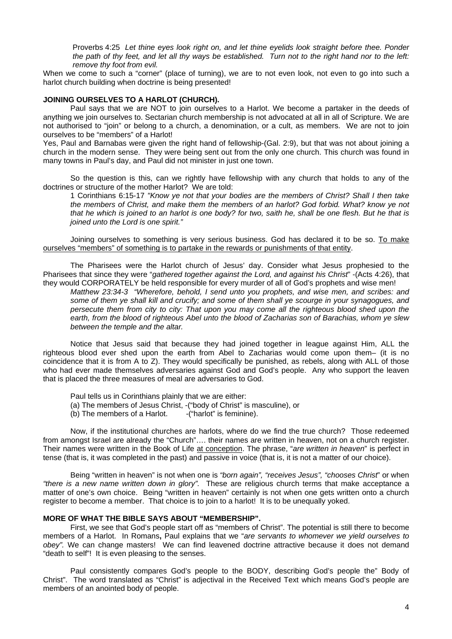Proverbs 4:25 *Let thine eyes look right on, and let thine eyelids look straight before thee. Ponder the path of thy feet, and let all thy ways be established. Turn not to the right hand nor to the left: remove thy foot from evil.*

When we come to such a "corner" (place of turning), we are to not even look, not even to go into such a harlot church building when doctrine is being presented!

### **JOINING OURSELVES TO A HARLOT (CHURCH).**

 Paul says that we are NOT to join ourselves to a Harlot. We become a partaker in the deeds of anything we join ourselves to. Sectarian church membership is not advocated at all in all of Scripture. We are not authorised to "join" or belong to a church, a denomination, or a cult, as members. We are not to join ourselves to be "members" of a Harlot!

Yes, Paul and Barnabas were given the right hand of fellowship-(Gal. 2:9), but that was not about joining a church in the modern sense. They were being sent out from the only one church. This church was found in many towns in Paul's day, and Paul did not minister in just one town.

 So the question is this, can we rightly have fellowship with any church that holds to any of the doctrines or structure of the mother Harlot? We are told:

1 Corinthians 6:15-17 *"Know ye not that your bodies are the members of Christ? Shall I then take the members of Christ, and make them the members of an harlot? God forbid. What? know ye not that he which is joined to an harlot is one body? for two, saith he, shall be one flesh. But he that is joined unto the Lord is one spirit."* 

 Joining ourselves to something is very serious business. God has declared it to be so. To make ourselves "members" of something is to partake in the rewards or punishments of that entity.

 The Pharisees were the Harlot church of Jesus' day. Consider what Jesus prophesied to the Pharisees that since they were "*gathered together against the Lord, and against his Christ*" -(Acts 4:26), that they would CORPORATELY be held responsible for every murder of all of God's prophets and wise men!

*Matthew 23:34-3 "Wherefore, behold, I send unto you prophets, and wise men, and scribes: and some of them ye shall kill and crucify; and some of them shall ye scourge in your synagogues, and persecute them from city to city: That upon you may come all the righteous blood shed upon the earth, from the blood of righteous Abel unto the blood of Zacharias son of Barachias, whom ye slew between the temple and the altar.* 

Notice that Jesus said that because they had joined together in league against Him, ALL the righteous blood ever shed upon the earth from Abel to Zacharias would come upon them– (it is no coincidence that it is from A to Z). They would specifically be punished, as rebels, along with ALL of those who had ever made themselves adversaries against God and God's people. Any who support the leaven that is placed the three measures of meal are adversaries to God.

Paul tells us in Corinthians plainly that we are either:

- (a) The members of Jesus Christ, -("body of Christ" is masculine), or (b) The members of a Harlot.  $\qquad -$ ("harlot" is feminine).
- $(b)$  The members of a Harlot.

 Now, if the institutional churches are harlots, where do we find the true church? Those redeemed from amongst Israel are already the "Church"…. their names are written in heaven, not on a church register. Their names were written in the Book of Life at conception. The phrase, "*are written in heaven*" is perfect in tense (that is, it was completed in the past) and passive in voice (that is, it is not a matter of our choice).

 Being "written in heaven" is not when one is *"born again", "receives Jesus", "chooses Christ*" or when *"there is a new name written down in glory".* These are religious church terms that make acceptance a matter of one's own choice. Being "written in heaven" certainly is not when one gets written onto a church register to become a member. That choice is to join to a harlot! It is to be unequally yoked.

# **MORE OF WHAT THE BIBLE SAYS ABOUT "MEMBERSHIP".**

First, we see that God's people start off as "members of Christ". The potential is still there to become members of a Harlot. In Romans**,** Paul explains that we "*are servants to whomever we yield ourselves to obey".* We can change masters! We can find leavened doctrine attractive because it does not demand "death to self"! It is even pleasing to the senses.

 Paul consistently compares God's people to the BODY, describing God's people the" Body of Christ". The word translated as "Christ" is adjectival in the Received Text which means God's people are members of an anointed body of people.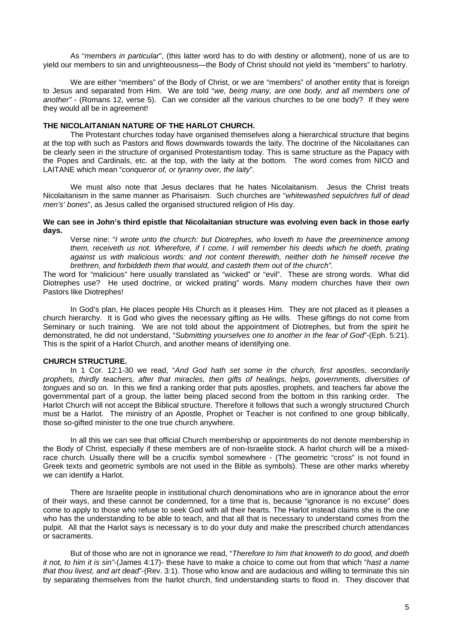As "*members in particular*", (this latter word has to do with destiny or allotment), none of us are to yield our members to sin and unrighteousness—the Body of Christ should not yield its "members" to harlotry.

We are either "members" of the Body of Christ, or we are "members" of another entity that is foreign to Jesus and separated from Him. We are told "*we, being many, are one body, and all members one of another" -* (Romans 12, verse 5). Can we consider all the various churches to be one body? If they were they would all be in agreement!

### **THE NICOLAITANIAN NATURE OF THE HARLOT CHURCH.**

 The Protestant churches today have organised themselves along a hierarchical structure that begins at the top with such as Pastors and flows downwards towards the laity. The doctrine of the Nicolaitanes can be clearly seen in the structure of organised Protestantism today. This is same structure as the Papacy with the Popes and Cardinals, etc. at the top, with the laity at the bottom. The word comes from NICO and LAITANE which mean "*conqueror of, or tyranny over, the laity*".

 We must also note that Jesus declares that he hates Nicolaitanism. Jesus the Christ treats Nicolaitanism in the same manner as Pharisaism. Such churches are "*whitewashed sepulchres full of dead men's' bones*", as Jesus called the organised structured religion of His day.

### **We can see in John's third epistle that Nicolaitanian structure was evolving even back in those early days.**

Verse nine: "*I wrote unto the church: but Diotrephes, who loveth to have the preeminence among them, receiveth us not. Wherefore, if I come, I will remember his deeds which he doeth, prating against us with malicious words: and not content therewith, neither doth he himself receive the brethren, and forbiddeth them that would, and casteth them out of the church".*

The word for "malicious" here usually translated as "wicked" or "evil". These are strong words. What did Diotrephes use? He used doctrine, or wicked prating" words. Many modern churches have their own Pastors like Diotrephes!

In God's plan, He places people His Church as it pleases Him. They are not placed as it pleases a church hierarchy. It is God who gives the necessary gifting as He wills. These giftings do not come from Seminary or such training. We are not told about the appointment of Diotrephes, but from the spirit he demonstrated, he did not understand, "*Submitting yourselves one to another in the fear of God*"-(Eph. 5:21). This is the spirit of a Harlot Church, and another means of identifying one.

# **CHURCH STRUCTURE.**

In 1 Cor. 12:1-30 we read, "*And God hath set some in the church, first apostles, secondarily prophets, thirdly teachers, after that miracles, then gifts of healings, helps, governments, diversities of tongues* and so on. In this we find a ranking order that puts apostles, prophets, and teachers far above the governmental part of a group, the latter being placed second from the bottom in this ranking order. The Harlot Church will not accept the Biblical structure. Therefore it follows that such a wrongly structured Church must be a Harlot. The ministry of an Apostle, Prophet or Teacher is not confined to one group biblically, those so-gifted minister to the one true church anywhere.

In all this we can see that official Church membership or appointments do not denote membership in the Body of Christ, especially if these members are of non-Israelite stock. A harlot church will be a mixedrace church. Usually there will be a crucifix symbol somewhere - (The geometric "cross" is not found in Greek texts and geometric symbols are not used in the Bible as symbols). These are other marks whereby we can identify a Harlot.

There are Israelite people in institutional church denominations who are in ignorance about the error of their ways, and these cannot be condemned, for a time that is, because "ignorance is no excuse" does come to apply to those who refuse to seek God with all their hearts. The Harlot instead claims she is the one who has the understanding to be able to teach, and that all that is necessary to understand comes from the pulpit. All that the Harlot says is necessary is to do your duty and make the prescribed church attendances or sacraments.

But of those who are not in ignorance we read, "*Therefore to him that knoweth to do good, and doeth it not, to him it is sin"*-(James 4:17)- these have to make a choice to come out from that which "*hast a name that thou livest, and art dead*"-(Rev. 3:1). Those who know and are audacious and willing to terminate this sin by separating themselves from the harlot church, find understanding starts to flood in. They discover that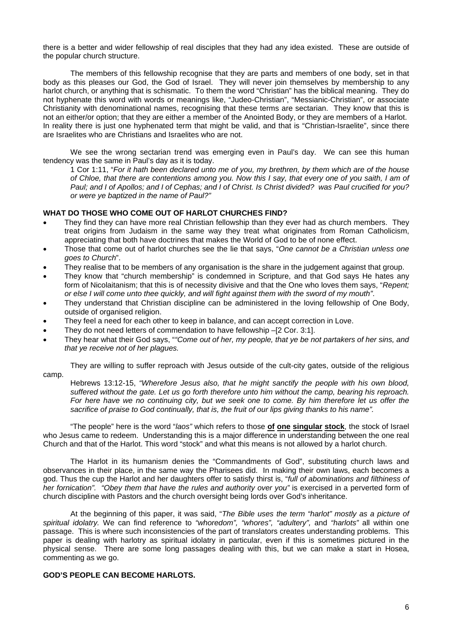there is a better and wider fellowship of real disciples that they had any idea existed. These are outside of the popular church structure.

 The members of this fellowship recognise that they are parts and members of one body, set in that body as this pleases our God, the God of Israel. They will never join themselves by membership to any harlot church, or anything that is schismatic. To them the word "Christian" has the biblical meaning. They do not hyphenate this word with words or meanings like, "Judeo-Christian", "Messianic-Christian", or associate Christianity with denominational names, recognising that these terms are sectarian. They know that this is not an either/or option; that they are either a member of the Anointed Body, or they are members of a Harlot. In reality there is just one hyphenated term that might be valid, and that is "Christian-Israelite", since there are Israelites who are Christians and Israelites who are not.

 We see the wrong sectarian trend was emerging even in Paul's day. We can see this human tendency was the same in Paul's day as it is today.

1 Cor 1:11, "*For it hath been declared unto me of you, my brethren, by them which are of the house of Chloe, that there are contentions among you. Now this I say, that every one of you saith, I am of Paul; and I of Apollos; and I of Cephas; and I of Christ. Is Christ divided? was Paul crucified for you? or were ye baptized in the name of Paul?"* 

# **WHAT DO THOSE WHO COME OUT OF HARLOT CHURCHES FIND?**

- They find they can have more real Christian fellowship than they ever had as church members. They treat origins from Judaism in the same way they treat what originates from Roman Catholicism, appreciating that both have doctrines that makes the World of God to be of none effect.
- Those that come out of harlot churches see the lie that says, "*One cannot be a Christian unless one goes to Church*".
- They realise that to be members of any organisation is the share in the judgement against that group.
- They know that "church membership" is condemned in Scripture, and that God says He hates any form of Nicolaitanism; that this is of necessity divisive and that the One who loves them says, "*Repent; or else I will come unto thee quickly, and will fight against them with the sword of my mouth"*.
- They understand that Christian discipline can be administered in the loving fellowship of One Body, outside of organised religion.
- They feel a need for each other to keep in balance, and can accept correction in Love.
- They do not need letters of commendation to have fellowship –[2 Cor. 3:1].
- They hear what their God says, "*"Come out of her, my people, that ye be not partakers of her sins, and that ye receive not of her plagues.*

They are willing to suffer reproach with Jesus outside of the cult-city gates, outside of the religious camp.

Hebrews 13:12-15, *"Wherefore Jesus also, that he might sanctify the people with his own blood, suffered without the gate. Let us go forth therefore unto him without the camp, bearing his reproach. For here have we no continuing city, but we seek one to come. By him therefore let us offer the sacrifice of praise to God continually, that is, the fruit of our lips giving thanks to his name".* 

 "The people" here is the word "*laos"* which refers to those **of one singular stock**, the stock of Israel who Jesus came to redeem. Understanding this is a major difference in understanding between the one real Church and that of the Harlot. This word "stock" and what this means is not allowed by a harlot church.

 The Harlot in its humanism denies the "Commandments of God", substituting church laws and observances in their place, in the same way the Pharisees did. In making their own laws, each becomes a god. Thus the cup the Harlot and her daughters offer to satisfy thirst is, "*full of abominations and filthiness of her fornication". "Obey them that have the rules and authority over you"* is exercised in a perverted form of church discipline with Pastors and the church oversight being lords over God's inheritance.

 At the beginning of this paper, it was said, "*The Bible uses the term "harlot" mostly as a picture of spiritual idolatry.* We can find reference to *"whoredom", "whores", "adultery",* and *"harlots"* all within one passage. This is where such inconsistencies of the part of translators creates understanding problems. This paper is dealing with harlotry as spiritual idolatry in particular, even if this is sometimes pictured in the physical sense. There are some long passages dealing with this, but we can make a start in Hosea, commenting as we go.

#### **GOD'S PEOPLE CAN BECOME HARLOTS.**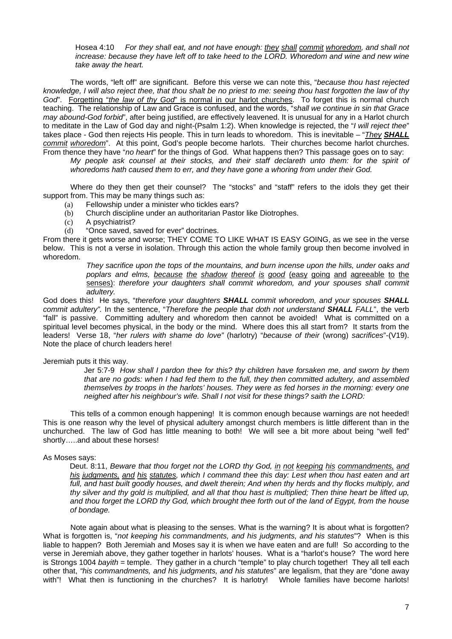Hosea 4:10 *For they shall eat, and not have enough: they shall commit whoredom, and shall not increase: because they have left off to take heed to the LORD. Whoredom and wine and new wine take away the heart.* 

 The words, "left off" are significant. Before this verse we can note this, "*because thou hast rejected knowledge, I will also reject thee, that thou shalt be no priest to me: seeing thou hast forgotten the law of thy God*". Forgetting "*the law of thy God*" is normal in our harlot churches. To forget this is normal church teaching. The relationship of Law and Grace is confused, and the words, "*shall we continue in sin that Grace may abound-God forbid*", after being justified, are effectively leavened. It is unusual for any in a Harlot church to meditate in the Law of God day and night-(Psalm 1:2). When knowledge is rejected, the "*I will reject thee*" takes place - God then rejects His people. This in turn leads to whoredom. This is inevitable – "*They SHALL commit whoredom*". At this point, God's people become harlots. Their churches become harlot churches. From thence they have "*no heart*" for the things of God. What happens then? This passage goes on to say:

*My people ask counsel at their stocks, and their staff declareth unto them: for the spirit of whoredoms hath caused them to err, and they have gone a whoring from under their God.* 

 Where do they then get their counsel? The "stocks" and "staff" refers to the idols they get their support from. This may be many things such as:

- (a) Fellowship under a minister who tickles ears?
- (b) Church discipline under an authoritarian Pastor like Diotrophes.
- (c) A psychiatrist?
- (d) "Once saved, saved for ever" doctrines.

From there it gets worse and worse; THEY COME TO LIKE WHAT IS EASY GOING, as we see in the verse below. This is not a verse in isolation. Through this action the whole family group then become involved in whoredom.

> *They sacrifice upon the tops of the mountains, and burn incense upon the hills, under oaks and poplars and elms, because the shadow thereof is good* (easy going and agreeable to the senses): *therefore your daughters shall commit whoredom, and your spouses shall commit adultery.*

God does this! He says, "*therefore your daughters SHALL commit whoredom, and your spouses SHALL commit adultery".* In the sentence, "*Therefore the people that doth not understand SHALL FALL*", the verb "fall" is passive. Committing adultery and whoredom then cannot be avoided! What is committed on a spiritual level becomes physical, in the body or the mind. Where does this all start from? It starts from the leaders! Verse 18, "*her rulers with shame do love"* (harlotry) "*because of their* (wrong) *sacrifices*"-(V19). Note the place of church leaders here!

# Jeremiah puts it this way.

Jer 5:7-9 *How shall I pardon thee for this? thy children have forsaken me, and sworn by them that are no gods: when I had fed them to the full, they then committed adultery, and assembled themselves by troops in the harlots' houses. They were as fed horses in the morning: every one neighed after his neighbour's wife. Shall I not visit for these things? saith the LORD:* 

 This tells of a common enough happening! It is common enough because warnings are not heeded! This is one reason why the level of physical adultery amongst church members is little different than in the unchurched. The law of God has little meaning to both! We will see a bit more about being "well fed" shortly…..and about these horses!

#### As Moses says:

Deut. 8:11, *Beware that thou forget not the LORD thy God, in not keeping his commandments, and his judgments, and his statutes, which I command thee this day: Lest when thou hast eaten and art*  full, and hast built goodly houses, and dwelt therein; And when thy herds and thy flocks multiply, and *thy silver and thy gold is multiplied, and all that thou hast is multiplied; Then thine heart be lifted up, and thou forget the LORD thy God, which brought thee forth out of the land of Egypt, from the house of bondage.* 

 Note again about what is pleasing to the senses. What is the warning? It is about what is forgotten? What is forgotten is, "*not keeping his commandments, and his judgments, and his statutes*"? When is this liable to happen? Both Jeremiah and Moses say it is when we have eaten and are full! So according to the verse in Jeremiah above, they gather together in harlots' houses. What is a "harlot's house? The word here is Strongs 1004 *bayith* = temple. They gather in a church "temple" to play church together! They all tell each other that, *"his commandments, and his judgments, and his statutes*" are legalism, that they are "done away with"! What then is functioning in the churches? It is harlotry! Whole families have become harlots!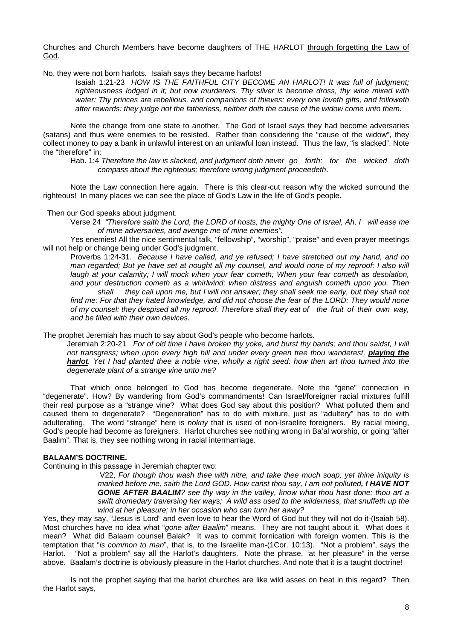Churches and Church Members have become daughters of THE HARLOT through forgetting the Law of God.

No, they were not born harlots. Isaiah says they became harlots!

Isaiah 1:21-23 *HOW IS THE FAITHFUL CITY BECOME AN HARLOT! It was full of judgment; righteousness lodged in it; but now murderers. Thy silver is become dross, thy wine mixed with water: Thy princes are rebellious, and companions of thieves: every one loveth gifts, and followeth after rewards: they judge not the fatherless, neither doth the cause of the widow come unto them.* 

 Note the change from one state to another. The God of Israel says they had become adversaries (satans) and thus were enemies to be resisted. Rather than considering the "cause of the widow", they collect money to pay a bank in unlawful interest on an unlawful loan instead. Thus the law, "is slacked". Note the "therefore" in:

Hab. 1:4 *Therefore the law is slacked, and judgment doth never go forth: for the wicked doth compass about the righteous; therefore wrong judgment proceedeth*.

 Note the Law connection here again. There is this clear-cut reason why the wicked surround the righteous! In many places we can see the place of God's Law in the life of God's people.

Then our God speaks about judgment.

Verse 24 *"Therefore saith the Lord, the LORD of hosts, the mighty One of Israel, Ah, I will ease me of mine adversaries, and avenge me of mine enemies".*

 Yes enemies! All the nice sentimental talk, "fellowship", "worship", "praise" and even prayer meetings will not help or change being under God's judgment.

Proverbs 1:24-31. *Because I have called, and ye refused; I have stretched out my hand, and no man regarded; But ye have set at nought all my counsel, and would none of my reproof: I also will laugh at your calamity; I will mock when your fear cometh; When your fear cometh as desolation, and your destruction cometh as a whirlwind; when distress and anguish cometh upon you. Then* 

 *shall they call upon me, but I will not answer; they shall seek me early, but they shall not*  find me: For that they hated knowledge, and did not choose the fear of the LORD: They would none *of my counsel: they despised all my reproof. Therefore shall they eat of the fruit of their own way, and be filled with their own devices.* 

The prophet Jeremiah has much to say about God's people who become harlots.

Jeremiah 2:20-21 *For of old time I have broken thy yoke, and burst thy bands; and thou saidst, I will*  not transgress; when upon every high hill and under every green tree thou wanderest, *playing the harlot. Yet I had planted thee a noble vine, wholly a right seed: how then art thou turned into the degenerate plant of a strange vine unto me?* 

 That which once belonged to God has become degenerate. Note the "gene" connection in "degenerate". How? By wandering from God's commandments! Can Israel/foreigner racial mixtures fulfill their real purpose as a "strange vine? What does God say about this position? What polluted them and caused them to degenerate? "Degeneration" has to do with mixture, just as "adultery" has to do with adulterating. The word "strange" here is *nokriy* that is used of non-Israelite foreigners. By racial mixing, God's people had become as foreigners. Harlot churches see nothing wrong in Ba'al worship, or going "after Baalim". That is, they see nothing wrong in racial intermarriage.

# **BALAAM'S DOCTRINE.**

Continuing in this passage in Jeremiah chapter two:

 V22, *For though thou wash thee with nitre, and take thee much soap, yet thine iniquity is marked before me, saith the Lord GOD. How canst thou say, I am not polluted, I HAVE NOT GONE AFTER BAALIM? see thy way in the valley, know what thou hast done: thou art a swift dromedary traversing her ways; A wild ass used to the wilderness, that snuffeth up the wind at her pleasure; in her occasion who can turn her away?*

Yes, they may say, "Jesus is Lord" and even love to hear the Word of God but they will not do it-(Isaiah 58). Most churches have no idea what "*gone after Baalim*" means. They are not taught about it. What does it mean? What did Balaam counsel Balak? It was to commit fornication with foreign women. This is the temptation that "*is common to man*", that is, to the Israelite man-(1Cor. 10:13). "Not a problem", says the Harlot. "Not a problem" say all the Harlot's daughters. Note the phrase, "at her pleasure" in the verse above. Baalam's doctrine is obviously pleasure in the Harlot churches. And note that it is a taught doctrine!

 Is not the prophet saying that the harlot churches are like wild asses on heat in this regard? Then the Harlot says,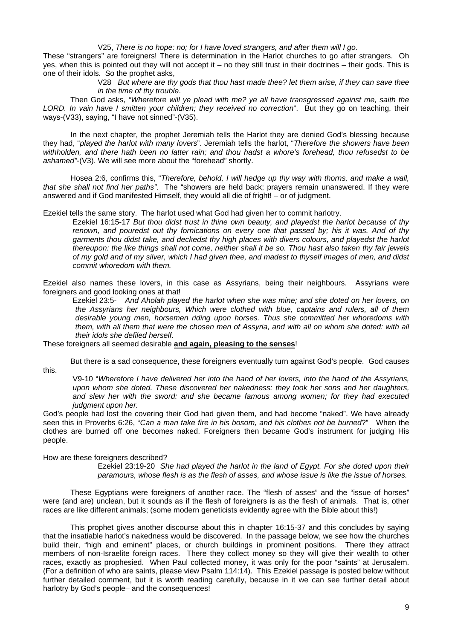#### V25, *There is no hope: no; for I have loved strangers, and after them will I go*.

These "strangers" are foreigners! There is determination in the Harlot churches to go after strangers. Oh yes, when this is pointed out they will not accept it – no they still trust in their doctrines – their gods. This is one of their idols. So the prophet asks,

V28 *But where are thy gods that thou hast made thee? let them arise, if they can save thee in the time of thy trouble*.

 Then God asks, *"Wherefore will ye plead with me? ye all have transgressed against me, saith the LORD. In vain have I smitten your children; they received no correction*". But they go on teaching, their ways-(V33), saying, "I have not sinned"-(V35).

 In the next chapter, the prophet Jeremiah tells the Harlot they are denied God's blessing because they had, "*played the harlot with many lovers*". Jeremiah tells the harlot, "*Therefore the showers have been withholden, and there hath been no latter rain; and thou hadst a whore's forehead, thou refusedst to be ashamed"*-(V3). We will see more about the "forehead" shortly.

Hosea 2:6, confirms this, "*Therefore, behold, I will hedge up thy way with thorns, and make a wall, that she shall not find her paths"*. The "showers are held back; prayers remain unanswered. If they were answered and if God manifested Himself, they would all die of fright! – or of judgment.

Ezekiel tells the same story. The harlot used what God had given her to commit harlotry.

Ezekiel 16:15-17 *But thou didst trust in thine own beauty, and playedst the harlot because of thy renown, and pouredst out thy fornications on every one that passed by; his it was. And of thy garments thou didst take, and deckedst thy high places with divers colours, and playedst the harlot thereupon: the like things shall not come, neither shall it be so. Thou hast also taken thy fair jewels of my gold and of my silver, which I had given thee, and madest to thyself images of men, and didst commit whoredom with them.* 

Ezekiel also names these lovers, in this case as Assyrians, being their neighbours. Assyrians were foreigners and good looking ones at that!

Ezekiel 23:5- *And Aholah played the harlot when she was mine; and she doted on her lovers, on the Assyrians her neighbours, Which were clothed with blue, captains and rulers, all of them desirable young men, horsemen riding upon horses. Thus she committed her whoredoms with*  them, with all them that were the chosen men of Assyria, and with all on whom she doted: with all *their idols she defiled herself.*

These foreigners all seemed desirable **and again, pleasing to the senses**!

 But there is a sad consequence, these foreigners eventually turn against God's people. God causes this.

V9-10 "*Wherefore I have delivered her into the hand of her lovers, into the hand of the Assyrians, upon whom she doted. These discovered her nakedness: they took her sons and her daughters, and slew her with the sword: and she became famous among women; for they had executed judgment upon her.*

God's people had lost the covering their God had given them, and had become "naked". We have already seen this in Proverbs 6:26, "*Can a man take fire in his bosom, and his clothes not be burned*?" When the clothes are burned off one becomes naked. Foreigners then became God's instrument for judging His people.

How are these foreigners described?

Ezekiel 23:19-20 *She had played the harlot in the land of Egypt. For she doted upon their paramours, whose flesh is as the flesh of asses, and whose issue is like the issue of horses.* 

 These Egyptians were foreigners of another race. The "flesh of asses" and the "issue of horses" were (and are) unclean, but it sounds as if the flesh of foreigners is as the flesh of animals. That is, other races are like different animals; (some modern geneticists evidently agree with the Bible about this!)

 This prophet gives another discourse about this in chapter 16:15-37 and this concludes by saying that the insatiable harlot's nakedness would be discovered. In the passage below, we see how the churches build their, "high and eminent" places, or church buildings in prominent positions. There they attract members of non-Israelite foreign races. There they collect money so they will give their wealth to other races, exactly as prophesied. When Paul collected money, it was only for the poor "saints" at Jerusalem. (For a definition of who are saints, please view Psalm 114:14). This Ezekiel passage is posted below without further detailed comment, but it is worth reading carefully, because in it we can see further detail about harlotry by God's people- and the consequences!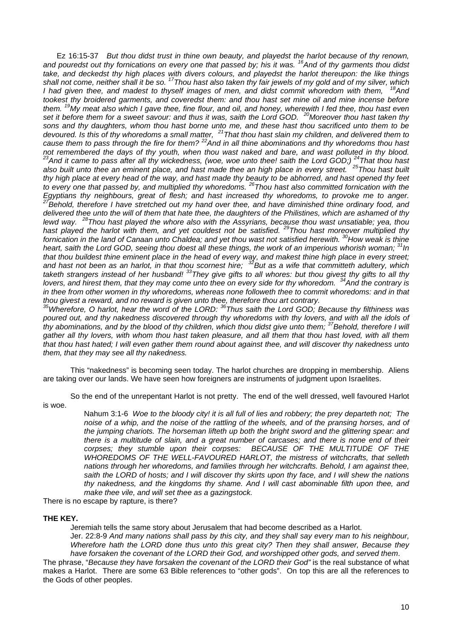Ez 16:15-37 *But thou didst trust in thine own beauty, and playedst the harlot because of thy renown, and pouredst out thy fornications on every one that passed by; his it was. 16And of thy garments thou didst take, and deckedst thy high places with divers colours, and playedst the harlot thereupon: the like things shall not come, neither shall it be so. 17Thou hast also taken thy fair jewels of my gold and of my silver, which I had given thee, and madest to thyself images of men, and didst commit whoredom with them, 18And tookest thy broidered garments, and coveredst them: and thou hast set mine oil and mine incense before them. 19My meat also which I gave thee, fine flour, and oil, and honey, wherewith I fed thee, thou hast even set it before them for a sweet savour: and thus it was, saith the Lord GOD. 20Moreover thou hast taken thy sons and thy daughters, whom thou hast borne unto me, and these hast thou sacrificed unto them to be devoured. Is this of thy whoredoms a small matter, 21That thou hast slain my children, and delivered them to*  develops. It all of any impredents a small matrix, that their task standing small on, and delivered them to pass through the fire for them? <sup>22</sup>And in all thine abominations and thy whoredoms thou hast not remembered the d *not remembered the days of thy youth, when thou wast naked and bare, and wast polluted in thy blood. 23And it came to pass after all thy wickedness, (woe, woe unto thee! saith the Lord GOD;) 24That thou hast also built unto thee an eminent place, and hast made thee an high place in every street. 25Thou hast built thy high place at every head of the way, and hast made thy beauty to be abhorred, and hast opened thy feet to every one that passed by, and multiplied thy whoredoms. 26Thou hast also committed fornication with the Egyptians thy neighbours, great of flesh; and hast increased thy whoredoms, to provoke me to anger. 27Behold, therefore I have stretched out my hand over thee, and have diminished thine ordinary food, and delivered thee unto the will of them that hate thee, the daughters of the Philistines, which are ashamed of thy lewd way. 28Thou hast played the whore also with the Assyrians, because thou wast unsatiable; yea, thou* 

*hast played the harlot with them, and yet couldest not be satisfied. 29Thou hast moreover multiplied thy fornication in the land of Canaan unto Chaldea; and yet thou wast not satisfied herewith. 30How weak is thine heart, saith the Lord GOD, seeing thou doest all these things, the work of an imperious whorish woman; 31In that thou buildest thine eminent place in the head of every way, and makest thine high place in every street; and hast not been as an harlot, in that thou scornest hire; 32But as a wife that committeth adultery, which taketh strangers instead of her husband! 33They give gifts to all whores: but thou givest thy gifts to all thy lovers, and hirest them, that they may come unto thee on every side for thy whoredom. 34And the contrary is*  in thee from other women in thy whoredoms, whereas none followeth thee to commit whoredoms: and in that

*thou givest a reward, and no reward is given unto thee, therefore thou art contrary. 35Wherefore, O harlot, hear the word of the LORD: 36Thus saith the Lord GOD; Because thy filthiness was poured out, and thy nakedness discovered through thy whoredoms with thy lovers, and with all the idols of thy abominations, and by the blood of thy children, which thou didst give unto them; 37Behold, therefore I will gather all thy lovers, with whom thou hast taken pleasure, and all them that thou hast loved, with all them that thou hast hated; I will even gather them round about against thee, and will discover thy nakedness unto them, that they may see all thy nakedness.* 

 This "nakedness" is becoming seen today. The harlot churches are dropping in membership. Aliens are taking over our lands. We have seen how foreigners are instruments of judgment upon Israelites.

 So the end of the unrepentant Harlot is not pretty. The end of the well dressed, well favoured Harlot is woe.

> Nahum 3:1-6 *Woe to the bloody city! it is all full of lies and robbery; the prey departeth not; The noise of a whip, and the noise of the rattling of the wheels, and of the pransing horses, and of the jumping chariots. The horseman lifteth up both the bright sword and the glittering spear: and there is a multitude of slain, and a great number of carcases; and there is none end of their corpses; they stumble upon their corpses: BECAUSE OF THE MULTITUDE OF THE WHOREDOMS OF THE WELL-FAVOURED HARLOT, the mistress of witchcrafts, that selleth nations through her whoredoms, and families through her witchcrafts. Behold, I am against thee, saith the LORD of hosts; and I will discover thy skirts upon thy face, and I will shew the nations thy nakedness, and the kingdoms thy shame. And I will cast abominable filth upon thee, and make thee vile, and will set thee as a gazingstock.*

There is no escape by rapture, is there?

# **THE KEY.**

Jeremiah tells the same story about Jerusalem that had become described as a Harlot.

Jer. 22:8-9 *And many nations shall pass by this city, and they shall say every man to his neighbour, Wherefore hath the LORD done thus unto this great city? Then they shall answer, Because they have forsaken the covenant of the LORD their God, and worshipped other gods, and served them*.

The phrase, "*Because they have forsaken the covenant of the LORD their God*" is the real substance of what makes a Harlot. There are some 63 Bible references to "other gods". On top this are all the references to the Gods of other peoples.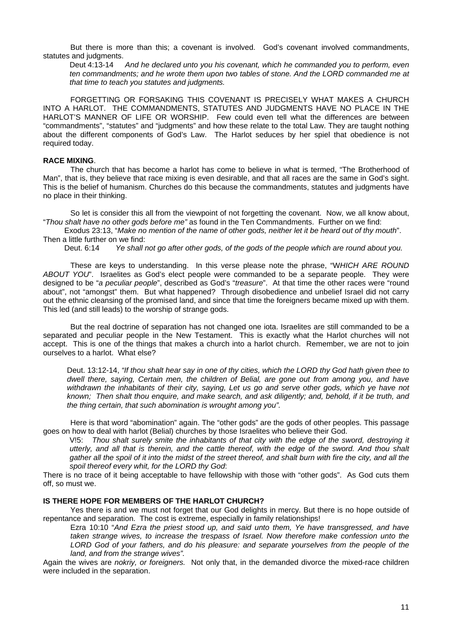But there is more than this; a covenant is involved. God's covenant involved commandments, statutes and judgments.

Deut 4:13-14 *And he declared unto you his covenant, which he commanded you to perform, even ten commandments; and he wrote them upon two tables of stone. And the LORD commanded me at that time to teach you statutes and judgments.* 

 FORGETTING OR FORSAKING THIS COVENANT IS PRECISELY WHAT MAKES A CHURCH INTO A HARLOT. THE COMMANDMENTS, STATUTES AND JUDGMENTS HAVE NO PLACE IN THE HARLOT'S MANNER OF LIFE OR WORSHIP. Few could even tell what the differences are between "commandments", "statutes" and "judgments" and how these relate to the total Law. They are taught nothing about the different components of God's Law. The Harlot seduces by her spiel that obedience is not required today.

# **RACE MIXING**.

 The church that has become a harlot has come to believe in what is termed, "The Brotherhood of Man", that is, they believe that race mixing is even desirable, and that all races are the same in God's sight. This is the belief of humanism. Churches do this because the commandments, statutes and judgments have no place in their thinking.

 So let is consider this all from the viewpoint of not forgetting the covenant. Now, we all know about, "*Thou shalt have no other gods before me"* as found in the Ten Commandments. Further on we find:

Exodus 23:13, "*Make no mention of the name of other gods, neither let it be heard out of thy mouth*". Then a little further on we find:

Deut. 6:14 *Ye shall not go after other gods, of the gods of the people which are round about you.* 

 These are keys to understanding. In this verse please note the phrase, "W*HICH ARE ROUND ABOUT YOU*". Israelites as God's elect people were commanded to be a separate people. They were designed to be "*a peculiar people*", described as God's "*treasure*". At that time the other races were "round about", not "amongst" them. But what happened? Through disobedience and unbelief Israel did not carry out the ethnic cleansing of the promised land, and since that time the foreigners became mixed up with them. This led (and still leads) to the worship of strange gods.

 But the real doctrine of separation has not changed one iota. Israelites are still commanded to be a separated and peculiar people in the New Testament. This is exactly what the Harlot churches will not accept. This is one of the things that makes a church into a harlot church. Remember, we are not to join ourselves to a harlot. What else?

Deut. 13:12-14, *"If thou shalt hear say in one of thy cities, which the LORD thy God hath given thee to dwell there, saying, Certain men, the children of Belial, are gone out from among you, and have withdrawn the inhabitants of their city, saying, Let us go and serve other gods, which ye have not known; Then shalt thou enquire, and make search, and ask diligently; and, behold, if it be truth, and the thing certain, that such abomination is wrought among you".* 

Here is that word "abomination" again. The "other gods" are the gods of other peoples. This passage goes on how to deal with harlot (Belial) churches by those Israelites who believe their God.

V!5: *Thou shalt surely smite the inhabitants of that city with the edge of the sword, destroying it utterly, and all that is therein, and the cattle thereof, with the edge of the sword. And thou shalt gather all the spoil of it into the midst of the street thereof, and shalt burn with fire the city, and all the spoil thereof every whit, for the LORD thy God*:

There is no trace of it being acceptable to have fellowship with those with "other gods". As God cuts them off, so must we.

# **IS THERE HOPE FOR MEMBERS OF THE HARLOT CHURCH?**

 Yes there is and we must not forget that our God delights in mercy. But there is no hope outside of repentance and separation. The cost is extreme, especially in family relationships!

Ezra 10:10 "*And Ezra the priest stood up, and said unto them, Ye have transgressed, and have*  taken strange wives, to increase the trespass of Israel. Now therefore make confession unto the LORD God of your fathers, and do his pleasure: and separate yourselves from the people of the *land, and from the strange wives".* 

Again the wives are *nokriy, or foreigners.* Not only that, in the demanded divorce the mixed-race children were included in the separation.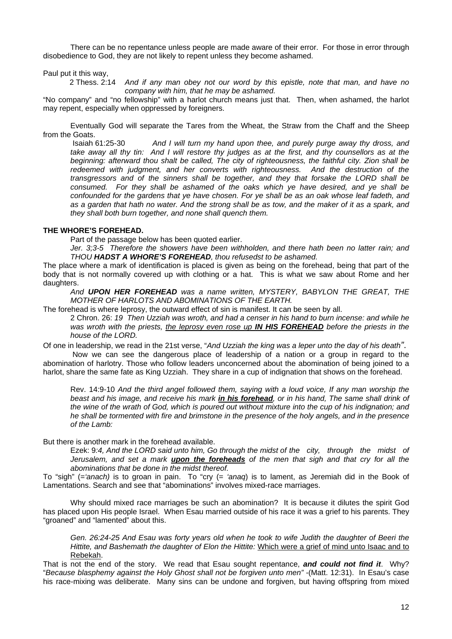There can be no repentance unless people are made aware of their error. For those in error through disobedience to God, they are not likely to repent unless they become ashamed.

Paul put it this way,

2 Thess. 2:14 *And if any man obey not our word by this epistle, note that man, and have no company with him, that he may be ashamed.* 

"No company" and "no fellowship" with a harlot church means just that. Then, when ashamed, the harlot may repent, especially when oppressed by foreigners.

 Eventually God will separate the Tares from the Wheat, the Straw from the Chaff and the Sheep from the Goats.

Isaiah 61:25-30 *And I will turn my hand upon thee, and purely purge away thy dross, and take away all thy tin: And I will restore thy judges as at the first, and thy counsellors as at the beginning: afterward thou shalt be called, The city of righteousness, the faithful city. Zion shall be redeemed with judgment, and her converts with righteousness. And the destruction of the transgressors and of the sinners shall be together, and they that forsake the LORD shall be consumed. For they shall be ashamed of the oaks which ye have desired, and ye shall be confounded for the gardens that ye have chosen. For ye shall be as an oak whose leaf fadeth, and as a garden that hath no water. And the strong shall be as tow, and the maker of it as a spark, and they shall both burn together, and none shall quench them.* 

# **THE WHORE'S FOREHEAD.**

Part of the passage below has been quoted earlier.

*Jer. 3;3-5 Therefore the showers have been withholden, and there hath been no latter rain; and THOU HADST A WHORE'S FOREHEAD, thou refusedst to be ashamed.* 

The place where a mark of identification is placed is given as being on the forehead, being that part of the body that is not normally covered up with clothing or a hat. This is what we saw about Rome and her daughters.

*And UPON HER FOREHEAD was a name written, MYSTERY, BABYLON THE GREAT, THE MOTHER OF HARLOTS AND ABOMINATIONS OF THE EARTH.*

The forehead is where leprosy, the outward effect of sin is manifest. It can be seen by all.

2 Chron. 26: *19 Then Uzziah was wroth, and had a censer in his hand to burn incense: and while he was wroth with the priests, the leprosy even rose up IN HIS FOREHEAD before the priests in the house of the LORD.* 

Of one in leadership, we read in the 21st verse, "*And Uzziah the king was a leper unto the day of his death"*. Now we can see the dangerous place of leadership of a nation or a group in regard to the

abomination of harlotry. Those who follow leaders unconcerned about the abomination of being joined to a harlot, share the same fate as King Uzziah. They share in a cup of indignation that shows on the forehead.

Rev. 14:9-10 *And the third angel followed them, saying with a loud voice, If any man worship the beast and his image, and receive his mark in his forehead, or in his hand, The same shall drink of the wine of the wrath of God, which is poured out without mixture into the cup of his indignation; and he shall be tormented with fire and brimstone in the presence of the holy angels, and in the presence of the Lamb:* 

But there is another mark in the forehead available.

Ezek: 9*:4, And the LORD said unto him, Go through the midst of the city, through the midst of Jerusalem, and set a mark upon the foreheads of the men that sigh and that cry for all the abominations that be done in the midst thereof.* 

To "sigh" (=*'anach)* is to groan in pain. To "cry (= *'anaq*) is to lament, as Jeremiah did in the Book of Lamentations. Search and see that "abominations" involves mixed-race marriages.

 Why should mixed race marriages be such an abomination? It is because it dilutes the spirit God has placed upon His people Israel. When Esau married outside of his race it was a grief to his parents. They "groaned" and "lamented" about this.

*Gen. 26:24-25 And Esau was forty years old when he took to wife Judith the daughter of Beeri the Hittite, and Bashemath the daughter of Elon the Hittite:* Which were a grief of mind unto Isaac and to Rebekah.

That is not the end of the story. We read that Esau sought repentance, *and could not find it*. Why? "*Because blasphemy against the Holy Ghost shall not be forgiven unto men"* -(Matt. 12:31). In Esau's case his race-mixing was deliberate. Many sins can be undone and forgiven, but having offspring from mixed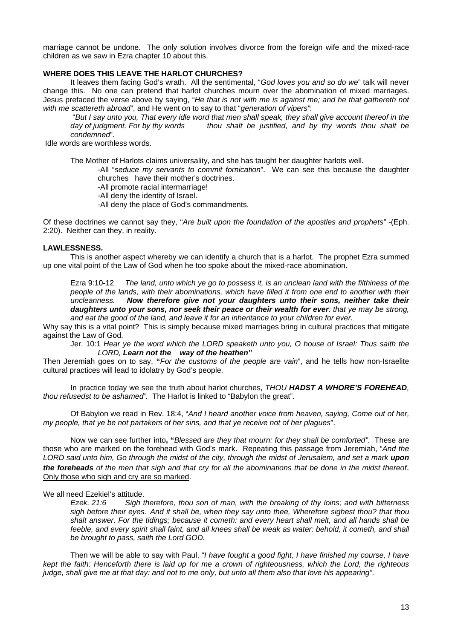marriage cannot be undone. The only solution involves divorce from the foreign wife and the mixed-race children as we saw in Ezra chapter 10 about this.

# **WHERE DOES THIS LEAVE THE HARLOT CHURCHES?**

It leaves them facing God's wrath. All the sentimental, "*God loves you and so do we*" talk will never change this. No one can pretend that harlot churches mourn over the abomination of mixed marriages. Jesus prefaced the verse above by saying, "*He that is not with me is against me; and he that gathereth not with me scattereth abroad*", and He went on to say to that "*generation of vipers"*:

"*But I say unto you, That every idle word that men shall speak, they shall give account thereof in the day of judgment. For by thy words thou shalt be justified, and by thy words thou shalt be condemned*".

Idle words are worthless words.

The Mother of Harlots claims universality, and she has taught her daughter harlots well.

-All "*seduce my servants to commit fornication*". We can see this because the daughter churches have their mother's doctrines.

-All promote racial intermarriage!

-All deny the identity of Israel.

-All deny the place of God's commandments.

Of these doctrines we cannot say they, "*Are built upon the foundation of the apostles and prophets"* -(Eph. 2:20). Neither can they, in reality.

# **LAWLESSNESS.**

 This is another aspect whereby we can identify a church that is a harlot. The prophet Ezra summed up one vital point of the Law of God when he too spoke about the mixed-race abomination.

Ezra 9:10-12 *The land, unto which ye go to possess it, is an unclean land with the filthiness of the people of the lands, with their abominations, which have filled it from one end to another with their uncleanness. Now therefore give not your daughters unto their sons, neither take their daughters unto your sons, nor seek their peace or their wealth for ever: that ye may be strong, and eat the good of the land, and leave it for an inheritance to your children for ever.* 

Why say this is a vital point? This is simply because mixed marriages bring in cultural practices that mitigate against the Law of God.

Jer. 10:1 *Hear ye the word which the LORD speaketh unto you, O house of Israel: Thus saith the LORD, Learn not the way of the heathen"*

Then Jeremiah goes on to say, **"***For the customs of the people are vain*", and he tells how non-Israelite cultural practices will lead to idolatry by God's people.

 In practice today we see the truth about harlot churches, *THOU HADST A WHORE'S FOREHEAD, thou refusedst to be ashamed".* The Harlot is linked to "Babylon the great".

 Of Babylon we read in Rev. 18:4, "*And I heard another voice from heaven, saying, Come out of her, my people, that ye be not partakers of her sins, and that ye receive not of her plagues*".

 Now we can see further into**, "***Blessed are they that mourn: for they shall be comforted"*. These are those who are marked on the forehead with God's mark. Repeating this passage from Jeremiah, "*And the LORD said unto him, Go through the midst of the city, through the midst of Jerusalem, and set a mark upon the foreheads of the men that sigh and that cry for all the abominations that be done in the midst thereof*. Only those who sigh and cry are so marked.

# We all need Ezekiel's attitude.

*Ezek. 21:6 Sigh therefore, thou son of man, with the breaking of thy loins; and with bitterness sigh before their eyes. And it shall be, when they say unto thee, Wherefore sighest thou? that thou shalt answer, For the tidings; because it cometh: and every heart shall melt, and all hands shall be*  feeble, and every spirit shall faint, and all knees shall be weak as water: behold, it cometh, and shall *be brought to pass, saith the Lord GOD.* 

 Then we will be able to say with Paul, "*I have fought a good fight, I have finished my course, I have kept the faith: Henceforth there is laid up for me a crown of righteousness, which the Lord, the righteous judge, shall give me at that day: and not to me only, but unto all them also that love his appearing"*.